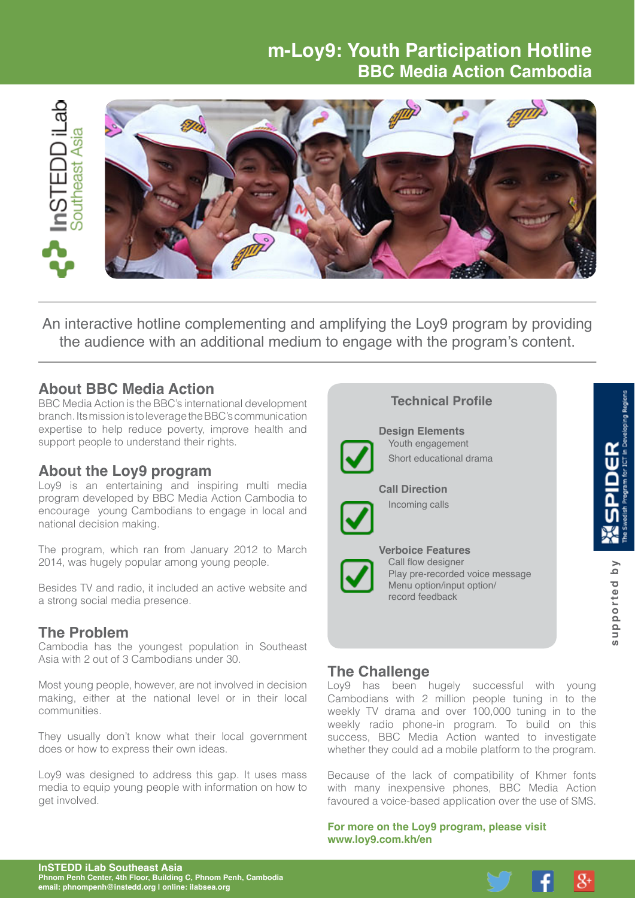# **m-Loy9: Youth Participation Hotline BBC Media Action Cambodia**



An interactive hotline complementing and amplifying the Loy9 program by providing the audience with an additional medium to engage with the program's content.

#### **About BBC Media Action**

BBC Media Action is the BBC's international development branch. Its mission is to leverage the BBC's communication expertise to help reduce poverty, improve health and support people to understand their rights.

# **About the Loy9 program**

Loy9 is an entertaining and inspiring multi media program developed by BBC Media Action Cambodia to encourage young Cambodians to engage in local and national decision making.

The program, which ran from January 2012 to March 2014, was hugely popular among young people.

Besides TV and radio, it included an active website and a strong social media presence.

# **The Problem**

Cambodia has the youngest population in Southeast Asia with 2 out of 3 Cambodians under 30.

Most young people, however, are not involved in decision making, either at the national level or in their local communities.

They usually don't know what their local government does or how to express their own ideas.

Loy9 was designed to address this gap. It uses mass media to equip young people with information on how to get involved.

| <b>Technical Profile</b>                                                                                                          |                      |
|-----------------------------------------------------------------------------------------------------------------------------------|----------------------|
| <b>Design Elements</b><br>Youth engagement<br>Short educational drama                                                             |                      |
| <b>Call Direction</b><br>Incoming calls                                                                                           |                      |
| <b>Verboice Features</b><br>Call flow designer<br>Play pre-recorded voice message<br>Menu option/input option/<br>record feedback | λq<br>upported<br>ဖာ |

#### **The Challenge**

Loy9 has been hugely successful with young Cambodians with 2 million people tuning in to the weekly TV drama and over 100,000 tuning in to the weekly radio phone-in program. To build on this success, BBC Media Action wanted to investigate whether they could ad a mobile platform to the program.

Because of the lack of compatibility of Khmer fonts with many inexpensive phones. BBC Media Action favoured a voice-based application over the use of SMS.

**For more on the Loy9 program, please visit [www.loy9.com.kh/en](http://loy9.com.kh/)**